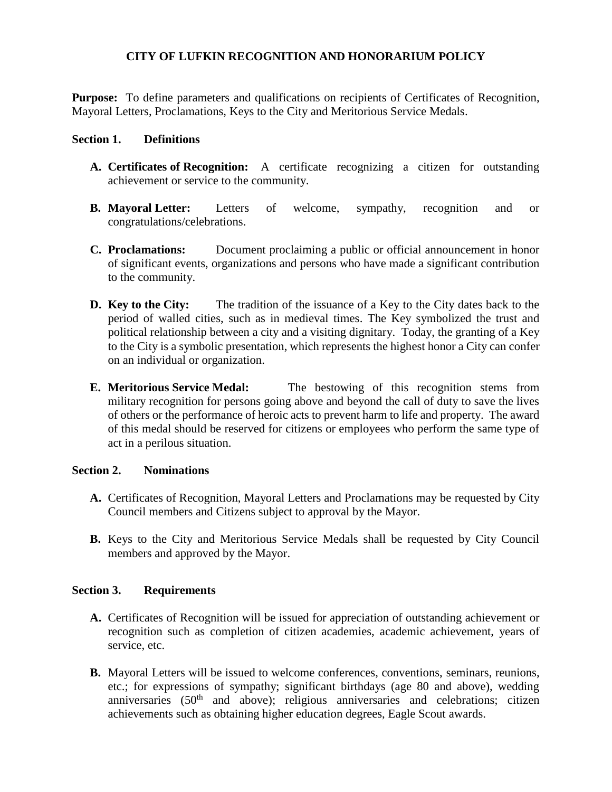### **CITY OF LUFKIN RECOGNITION AND HONORARIUM POLICY**

**Purpose:** To define parameters and qualifications on recipients of Certificates of Recognition, Mayoral Letters, Proclamations, Keys to the City and Meritorious Service Medals.

#### **Section 1. Definitions**

- **A. Certificates of Recognition:** A certificate recognizing a citizen for outstanding achievement or service to the community.
- **B. Mayoral Letter:** Letters of welcome, sympathy, recognition and or congratulations/celebrations.
- **C. Proclamations:** Document proclaiming a public or official announcement in honor of significant events, organizations and persons who have made a significant contribution to the community.
- **D. Key to the City:** The tradition of the issuance of a Key to the City dates back to the period of walled cities, such as in medieval times. The Key symbolized the trust and political relationship between a city and a visiting dignitary. Today, the granting of a Key to the City is a symbolic presentation, which represents the highest honor a City can confer on an individual or organization.
- **E. Meritorious Service Medal:** The bestowing of this recognition stems from military recognition for persons going above and beyond the call of duty to save the lives of others or the performance of heroic acts to prevent harm to life and property. The award of this medal should be reserved for citizens or employees who perform the same type of act in a perilous situation.

### **Section 2. Nominations**

- **A.** Certificates of Recognition, Mayoral Letters and Proclamations may be requested by City Council members and Citizens subject to approval by the Mayor.
- **B.** Keys to the City and Meritorious Service Medals shall be requested by City Council members and approved by the Mayor.

### **Section 3. Requirements**

- **A.** Certificates of Recognition will be issued for appreciation of outstanding achievement or recognition such as completion of citizen academies, academic achievement, years of service, etc.
- **B.** Mayoral Letters will be issued to welcome conferences, conventions, seminars, reunions, etc.; for expressions of sympathy; significant birthdays (age 80 and above), wedding anniversaries  $(50<sup>th</sup>$  and above); religious anniversaries and celebrations; citizen achievements such as obtaining higher education degrees, Eagle Scout awards.